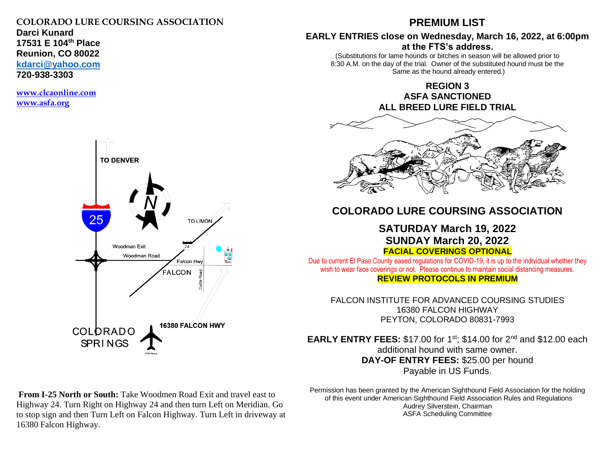## **COLORADO LURE COURSING ASSOCIATION**

**Darci Kunard 17531 E 104th Place Reunion, CO 80022 [kdarci@yahoo.com](mailto:kdarci@yahoo.com)**

**720-938-3303**

**[www.clcaonline.com](about:blank) [www.asfa.org](about:blank)**



## **PREMIUM LIST**

### **EARLY ENTRIES close on Wednesday, March 16, 2022, at 6:00pm at the FTS's address.**

(Substitutions for lame hounds or bitches in season will be allowed prior to 8:30 A.M. on the day of the trial. Owner of the substituted hound must be the Same as the hound already entered.)

> **REGION 3 ASFA SANCTIONED ALL BREED LURE FIELD TRIAL**



## **COLORADO LURE COURSING ASSOCIATION**

## **SATURDAY March 19, 2022 SUNDAY March 20, 2022 FACIAL COVERINGS OPTIONAL**

Due to current El Paso County eased regulations for COVID-19, it is up to the individual whether they wish to wear face coverings or not. Please continue to maintain social distancing measures. **REVIEW PROTOCOLS IN PREMIUM**

FALCON INSTITUTE FOR ADVANCED COURSING STUDIES 16380 FALCON HIGHWAY PEYTON, COLORADO 80831-7993

**EARLY ENTRY FEES:** \$17.00 for 1<sup>st</sup>; \$14.00 for 2<sup>nd</sup> and \$12.00 each additional hound with same owner. **DAY-OF ENTRY FEES:** \$25.00 per hound Payable in US Funds.

**From I-25 North or South:** Take Woodmen Road Exit and travel east to Highway 24. Turn Right on Highway 24 and then turn Left on Meridian. Go to stop sign and then Turn Left on Falcon Highway. Turn Left in driveway at 16380 Falcon Highway.

Permission has been granted by the American Sighthound Field Association for the holding of this event under American Sighthound Field Association Rules and Regulations Audrey Silverstein, Chairman ASFA Scheduling Committee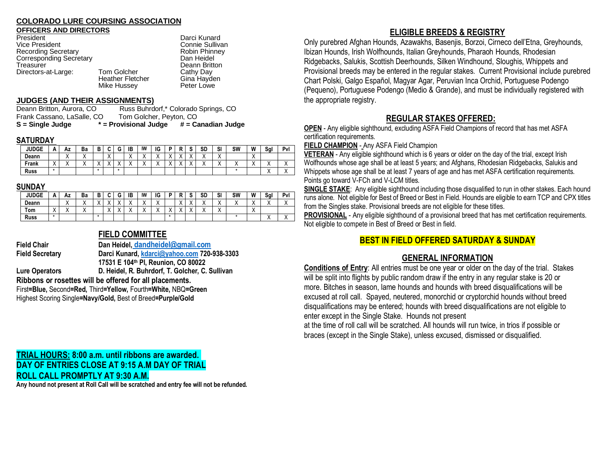### **COLORADO LURE COURSING ASSOCIATION**

### **OFFICERS AND DIRECTORS**

| President                      |  |
|--------------------------------|--|
| <b>Vice President</b>          |  |
| <b>Recording Secretary</b>     |  |
| <b>Corresponding Secretary</b> |  |
| Treasurer                      |  |
| Directors-at-Large:            |  |
|                                |  |

Darci Kunard Connie Sullivan Robin Phinney Dan Heidel Deann Britton<br>Cathy Day Tom Golcher **Cathy Day**<br>- Heather Fletcher Gina Hayden Heather Fletcher Gina Hayde<br>
Mike Hussey Beter Lowe

### **JUDGES (AND THEIR ASSIGNMENTS)**

Deann Britton, Aurora, CO Russ Buhrdorf,\* Colorado Springs, CO Frank Cassano, LaSalle, CO Tom Golcher, Peyton, CO **S = Single Judge \* = Provisional Judge # = Canadian Judge**

Mike Hussey

### **SATURDAY**

| <b>JUDGE</b> |                      | Αz                       | Ba                   | -<br>- | $\overline{\phantom{a}}$<br>w | ⌒ | IB                                    | IW                     | IG      | -       |                          | ົ                      | SD | SI                     | SW  | W                    | Sgl | Pvl       |
|--------------|----------------------|--------------------------|----------------------|--------|-------------------------------|---|---------------------------------------|------------------------|---------|---------|--------------------------|------------------------|----|------------------------|-----|----------------------|-----|-----------|
| Deann        |                      | $\cdot$<br>$\lambda$     | $\cdot$<br>∧         |        | $\checkmark$<br>⌒             |   | $\lambda$<br>$\overline{\phantom{a}}$ | $\sqrt{}$<br>$\lambda$ | $\cdot$ | $\cdot$ | $\overline{\phantom{a}}$ | $\lambda$<br>$\cdots$  | ,, | $\lambda$<br>$\lambda$ |     | $\cdot$<br>$\lambda$ |     |           |
| Frank        | $\cdot$<br>$\lambda$ | $\overline{\phantom{a}}$ | $\cdot$<br>$\lambda$ |        | $\lambda$                     |   | $\lambda$<br>$\overline{\phantom{a}}$ | $\cdot$<br>$\lambda$   | $\cdot$ | $\cdot$ | $\cdot$                  | $\lambda$<br>$\lambda$ |    | $\lambda$<br>$\lambda$ | . . | $\cdot$              | 73  | $\lambda$ |
| <b>Russ</b>  | $\mathbf x$          |                          |                      |        |                               |   |                                       |                        |         |         |                          |                        |    |                        |     |                      |     | $\lambda$ |

### **SUNDAY**

| <b>JUDGE</b> | <u>n</u>                | Αz  | Ba        | D<br>D                                | ~       | G | ΙB                       | IW                     | IG             | n         | D<br>                | w       | SD | SI                     | SW                       | W                    | Sgl                             | Pvl     |
|--------------|-------------------------|-----|-----------|---------------------------------------|---------|---|--------------------------|------------------------|----------------|-----------|----------------------|---------|----|------------------------|--------------------------|----------------------|---------------------------------|---------|
| Deann        |                         | ,   | $\cdots$  | $\lambda$<br>$\overline{\phantom{a}}$ | $\cdot$ |   | $\overline{\phantom{a}}$ | $\sqrt{}$<br>$\lambda$ | $\lambda$<br>↗ |           | $\lambda$            |         |    | $\lambda$              | $\overline{\phantom{a}}$ | $\cdot$<br>$\lambda$ | ٠.<br>, ,                       | $\cdot$ |
| Tom          | $\lambda$<br>$\sqrt{ }$ | , , | $\lambda$ |                                       | $\cdot$ |   | . .                      | $\cdot$<br>$\lambda$   | $\cdot$<br>73  | $\lambda$ | $\ddot{\phantom{0}}$ | $\cdot$ | ٠. | $\lambda$<br>$\lambda$ |                          | $\cdot$<br>$\lambda$ |                                 |         |
| <b>Russ</b>  |                         |     |           |                                       |         |   |                          |                        |                |           |                      |         |    |                        |                          |                      | . .<br>$\overline{\phantom{a}}$ | .       |

## **FIELD COMMITTEE**

**Field Chair Dan Heidel, [dandheidel@gmail.com](mailto:dandheidel@gmail.com) Field Secretary Darci Kunard[, kdarci@yahoo.com](mailto:kdarci@yahoo.com) 720-938-3303 17531 E 104th Pl, Reunion, CO 80022 Lure Operators D. Heidel, R. Buhrdorf, T. Golcher, C. Sullivan Ribbons or rosettes will be offered for all placements.** First**=Blue,** Second**=Red,** Third**=Yellow,** Fourth**=White,** NBQ**=Green** Highest Scoring Single**=Navy/Gold,** Best of Breed**=Purple/Gold**

## **TRIAL HOURS: 8:00 a.m. until ribbons are awarded. DAY OF ENTRIES CLOSE AT 9:15 A.M DAY OF TRIAL ROLL CALL PROMPTLY AT 9:30 A.M.**

**Any hound not present at Roll Call will be scratched and entry fee will not be refunded.**

## **ELIGIBLE BREEDS & REGISTRY**

Only purebred Afghan Hounds, Azawakhs, Basenjis, Borzoi, Cirneco dell'Etna, Greyhounds, Ibizan Hounds, Irish Wolfhounds, Italian Greyhounds, Pharaoh Hounds, Rhodesian Ridgebacks, Salukis, Scottish Deerhounds, Silken Windhound, Sloughis, Whippets and Provisional breeds may be entered in the regular stakes. Current Provisional include purebred Chart Polski, Galgo Español, Magyar Agar, Peruvian Inca Orchid, Portuguese Podengo (Pequeno), Portuguese Podengo (Medio & Grande), and must be individually registered with the appropriate registry.

## **REGULAR STAKES OFFERED:**

**OPEN** - Any eligible sighthound, excluding ASFA Field Champions of record that has met ASFA certification requirements.

**FIELD CHAMPION** - Any ASFA Field Champion

**VETERAN** - Any eligible sighthound which is 6 years or older on the day of the trial, except Irish Wolfhounds whose age shall be at least 5 years; and Afghans, Rhodesian Ridgebacks, Salukis and Whippets whose age shall be at least 7 years of age and has met ASFA certification requirements. Points go toward V-FCh and V-LCM titles.

**SINGLE STAKE**: Any eligible sighthound including those disqualified to run in other stakes. Each hound runs alone. Not eligible for Best of Breed or Best in Field. Hounds are eligible to earn TCP and CPX titles from the Singles stake. Provisional breeds are not eligible for these titles.

**PROVISIONAL** - Any eligible sighthound of a provisional breed that has met certification requirements. Not eligible to compete in Best of Breed or Best in field.

## **BEST IN FIELD OFFERED SATURDAY & SUNDAY**

## **GENERAL INFORMATION**

**Conditions of Entry**: All entries must be one year or older on the day of the trial. Stakes will be split into flights by public random draw if the entry in any regular stake is 20 or more. Bitches in season, lame hounds and hounds with breed disqualifications will be excused at roll call. Spayed, neutered, monorchid or cryptorchid hounds without breed disqualifications may be entered; hounds with breed disqualifications are not eligible to enter except in the Single Stake. Hounds not present

at the time of roll call will be scratched. All hounds will run twice, in trios if possible or braces (except in the Single Stake), unless excused, dismissed or disqualified.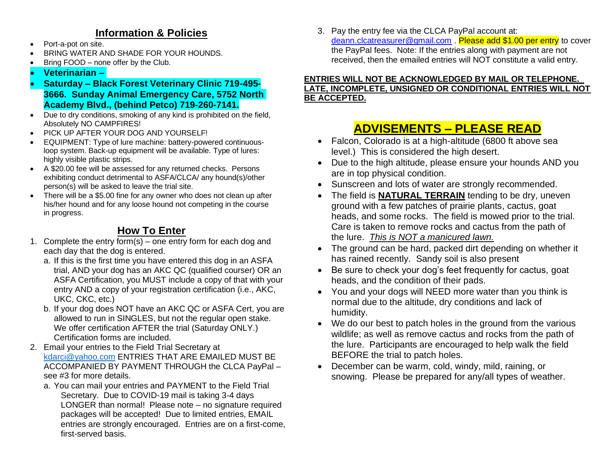## **Information & Policies**

- Port-a-pot on site.
- BRING WATER AND SHADE FOR YOUR HOUNDS.
- Bring FOOD none offer by the Club.
- **Veterinarian –**
- **Saturday – Black Forest Veterinary Clinic 719-495- 3666. Sunday Animal Emergency Care, 5752 North Academy Blvd., (behind Petco) 719-260-7141.**
- Due to dry conditions, smoking of any kind is prohibited on the field, Absolutely NO CAMPFIRES!
- PICK UP AFTER YOUR DOG AND YOURSELF!
- EQUIPMENT: Type of lure machine: battery-powered continuousloop system. Back-up equipment will be available. Type of lures: highly visible plastic strips.
- A \$20.00 fee will be assessed for any returned checks. Persons exhibiting conduct detrimental to ASFA/CLCA/ any hound(s)/other person(s) will be asked to leave the trial site.
- There will be a \$5.00 fine for any owner who does not clean up after his/her hound and for any loose hound not competing in the course in progress.

## **How To Enter**

- 1. Complete the entry form(s) one entry form for each dog and each day that the dog is entered.
	- a. If this is the first time you have entered this dog in an ASFA trial, AND your dog has an AKC QC (qualified courser) OR an ASFA Certification, you MUST include a copy of that with your entry AND a copy of your registration certification (i.e., AKC, UKC, CKC, etc.)
	- b. If your dog does NOT have an AKC QC or ASFA Cert, you are allowed to run in SINGLES, but not the regular open stake. We offer certification AFTER the trial (Saturday ONLY.) Certification forms are included.
- 2. Email your entries to the Field Trial Secretary at [kdarci@yahoo.com](mailto:kdarci@yahoo.com) ENTRIES THAT ARE EMAILED MUST BE ACCOMPANIED BY PAYMENT THROUGH the CLCA PayPal – see #3 for more details.
	- a. You can mail your entries and PAYMENT to the Field Trial Secretary. Due to COVID-19 mail is taking 3-4 days LONGER than normal! Please note – no signature required packages will be accepted! Due to limited entries, EMAIL entries are strongly encouraged. Entries are on a first-come, first-served basis.

3. Pay the entry fee via the CLCA PayPal account at: [deann.clcatreasurer@gmail.com](about:blank) . Please add \$1.00 per entry to cover the PayPal fees. Note: If the entries along with payment are not received, then the emailed entries will NOT constitute a valid entry.

### **ENTRIES WILL NOT BE ACKNOWLEDGED BY MAIL OR TELEPHONE. LATE, INCOMPLETE, UNSIGNED OR CONDITIONAL ENTRIES WILL NOT BE ACCEPTED.**

## **ADVISEMENTS – PLEASE READ**

- Falcon, Colorado is at a high-altitude (6800 ft above sea level.) This is considered the high desert.
- Due to the high altitude, please ensure your hounds AND you are in top physical condition.
- Sunscreen and lots of water are strongly recommended.
- The field is **NATURAL TERRAIN** tending to be dry, uneven ground with a few patches of prairie plants, cactus, goat heads, and some rocks. The field is mowed prior to the trial. Care is taken to remove rocks and cactus from the path of the lure. *This is NOT a manicured lawn.*
- The ground can be hard, packed dirt depending on whether it has rained recently. Sandy soil is also present
- Be sure to check your dog's feet frequently for cactus, goat heads, and the condition of their pads.
- You and your dogs will NEED more water than you think is normal due to the altitude, dry conditions and lack of humidity.
- We do our best to patch holes in the ground from the various wildlife; as well as remove cactus and rocks from the path of the lure. Participants are encouraged to help walk the field BEFORE the trial to patch holes.
- December can be warm, cold, windy, mild, raining, or snowing. Please be prepared for any/all types of weather.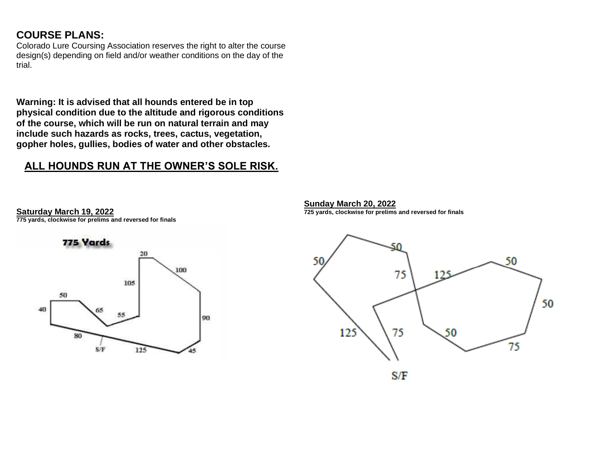## **COURSE PLANS:**

**Saturday March 19, 2022**

**775 yards, clockwise for prelims and reversed for finals**

Colorado Lure Coursing Association reserves the right to alter the course design(s) depending on field and/or weather conditions on the day of the trial.

**Warning: It is advised that all hounds entered be in top physical condition due to the altitude and rigorous conditions of the course, which will be run on natural terrain and may include such hazards as rocks, trees, cactus, vegetation, gopher holes, gullies, bodies of water and other obstacles.** 

## **ALL HOUNDS RUN AT THE OWNER'S SOLE RISK.**



**Sunday March 20, 2022 725 yards, clockwise for prelims and reversed for finals**

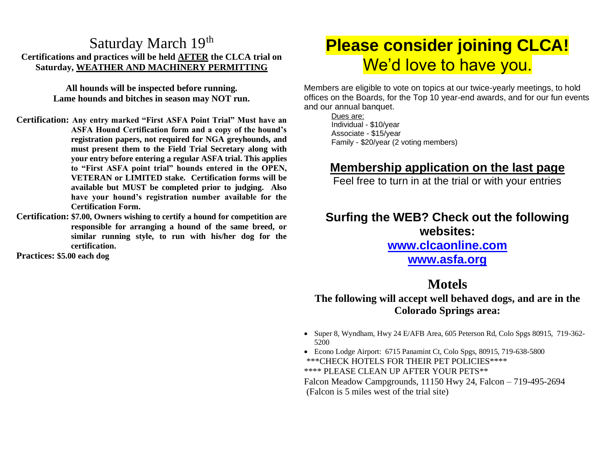## Saturday March 19th **Certifications and practices will be held AFTER the CLCA trial on Saturday, WEATHER AND MACHINERY PERMITTING**

**All hounds will be inspected before running. Lame hounds and bitches in season may NOT run.**

- **Certification: Any entry marked "First ASFA Point Trial" Must have an ASFA Hound Certification form and a copy of the hound's registration papers, not required for NGA greyhounds, and must present them to the Field Trial Secretary along with your entry before entering a regular ASFA trial. This applies to "First ASFA point trial" hounds entered in the OPEN, VETERAN or LIMITED stake. Certification forms will be available but MUST be completed prior to judging. Also have your hound's registration number available for the Certification Form.**
- **Certification: \$7.00, Owners wishing to certify a hound for competition are responsible for arranging a hound of the same breed, or similar running style, to run with his/her dog for the certification.**

**Practices: \$5.00 each dog**

# **Please consider joining CLCA!** We'd love to have you.

Members are eligible to vote on topics at our twice-yearly meetings, to hold offices on the Boards, for the Top 10 year-end awards, and for our fun events and our annual banquet.

Dues are: Individual - \$10/year Associate - \$15/year Family - \$20/year (2 voting members)

## **Membership application on the last page**

Feel free to turn in at the trial or with your entries

## **Surfing the WEB? Check out the following websites: [www.clcaonline.com](about:blank)**

## **[www.asfa.org](about:blank)**

## **Motels**

**The following will accept well behaved dogs, and are in the Colorado Springs area:**

- Super 8, Wyndham, Hwy 24 E/AFB Area, 605 Peterson Rd, Colo Spgs 80915, 719-362- 5200
- Econo Lodge Airport: 6715 Panamint Ct, Colo Spgs, 80915, 719-638-5800 \*\*\*CHECK HOTELS FOR THEIR PET POLICIES\*\*\*\* \*\*\*\* PLEASE CLEAN UP AFTER YOUR PETS\*\* Falcon Meadow Campgrounds, 11150 Hwy 24, Falcon – 719-495-2694 (Falcon is 5 miles west of the trial site)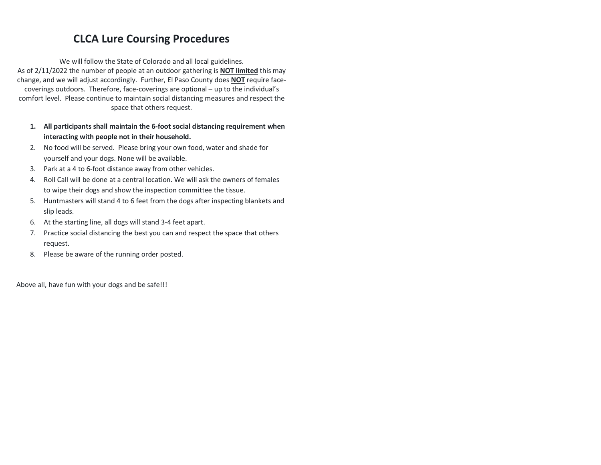## **CLCA Lure Coursing Procedures**

We will follow the State of Colorado and all local guidelines. As of 2/11/2022 the number of people at an outdoor gathering is **NOT limited** this may change, and we will adjust accordingly. Further, El Paso County does **NOT** require facecoverings outdoors. Therefore, face-coverings are optional – up to the individual's comfort level. Please continue to maintain social distancing measures and respect the space that others request.

- **1. All participants shall maintain the 6-foot social distancing requirement when interacting with people not in their household.**
- 2. No food will be served. Please bring your own food, water and shade for yourself and your dogs. None will be available.
- 3. Park at a 4 to 6-foot distance away from other vehicles.
- 4. Roll Call will be done at a central location. We will ask the owners of females to wipe their dogs and show the inspection committee the tissue.
- 5. Huntmasters will stand 4 to 6 feet from the dogs after inspecting blankets and slip leads.
- 6. At the starting line, all dogs will stand 3-4 feet apart.
- 7. Practice social distancing the best you can and respect the space that others request.
- 8. Please be aware of the running order posted.

Above all, have fun with your dogs and be safe!!!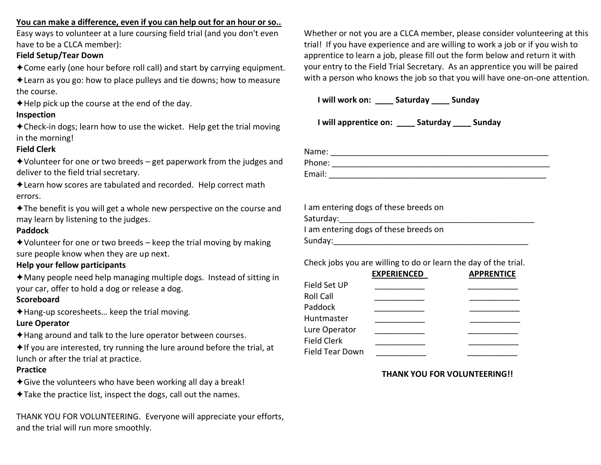### **You can make a difference, even if you can help out for an hour or so..**

Easy ways to volunteer at a lure coursing field trial (and you don't even have to be a CLCA member):

### **Field Setup/Tear Down**

✦Come early (one hour before roll call) and start by carrying equipment.

✦Learn as you go: how to place pulleys and tie downs; how to measure the course.

✦Help pick up the course at the end of the day.

### **Inspection**

✦Check-in dogs; learn how to use the wicket. Help get the trial moving in the morning!

### **Field Clerk**

 $\triangle$ Volunteer for one or two breeds – get paperwork from the judges and deliver to the field trial secretary.

✦Learn how scores are tabulated and recorded. Help correct math errors.

✦The benefit is you will get a whole new perspective on the course and may learn by listening to the judges.

### **Paddock**

 $\triangle$ Volunteer for one or two breeds – keep the trial moving by making sure people know when they are up next.

### **Help your fellow participants**

✦Many people need help managing multiple dogs. Instead of sitting in your car, offer to hold a dog or release a dog.

### **Scoreboard**

✦Hang-up scoresheets… keep the trial moving. **Lure Operator**

✦Hang around and talk to the lure operator between courses.

 $\triangle$ If you are interested, try running the lure around before the trial, at lunch or after the trial at practice.

### **Practice**

 $\triangle$ Give the volunteers who have been working all day a break!

✦Take the practice list, inspect the dogs, call out the names.

THANK YOU FOR VOLUNTEERING. Everyone will appreciate your efforts, and the trial will run more smoothly.

Whether or not you are a CLCA member, please consider volunteering at this trial! If you have experience and are willing to work a job or if you wish to apprentice to learn a job, please fill out the form below and return it with your entry to the Field Trial Secretary. As an apprentice you will be paired with a person who knows the job so that you will have one-on-one attention.

**I will work on: \_\_\_\_ Saturday \_\_\_\_ Sunday**

**I will apprentice on: \_\_\_\_ Saturday \_\_\_\_ Sunday**

Name: \_\_\_\_\_\_\_\_\_\_\_\_\_\_\_\_\_\_\_\_\_\_\_\_\_\_\_\_\_\_\_\_\_\_\_\_\_\_\_\_\_\_\_\_\_\_\_\_ Phone: \_\_\_\_\_\_\_\_\_\_\_\_\_\_\_\_\_\_\_\_\_\_\_\_\_\_\_\_\_\_\_\_\_\_\_\_\_\_\_\_\_\_\_\_\_\_\_\_ Email: \_\_\_\_\_\_\_\_\_\_\_\_\_\_\_\_\_\_\_\_\_\_\_\_\_\_\_\_\_\_\_\_\_\_\_\_\_\_\_\_\_\_\_\_\_\_\_\_

| I am entering dogs of these breeds on |
|---------------------------------------|
| Saturday:                             |
| I am entering dogs of these breeds on |
| Sunday:                               |

Check jobs you are willing to do or learn the day of the trial.

|                        | <b>EXPERIENCED</b> | <b>APPRENTICE</b> |
|------------------------|--------------------|-------------------|
| Field Set UP           |                    |                   |
| <b>Roll Call</b>       |                    |                   |
| Paddock                |                    |                   |
| Huntmaster             |                    |                   |
| Lure Operator          |                    |                   |
| <b>Field Clerk</b>     |                    |                   |
| <b>Field Tear Down</b> |                    |                   |
|                        |                    |                   |

### **THANK YOU FOR VOLUNTEERING!!**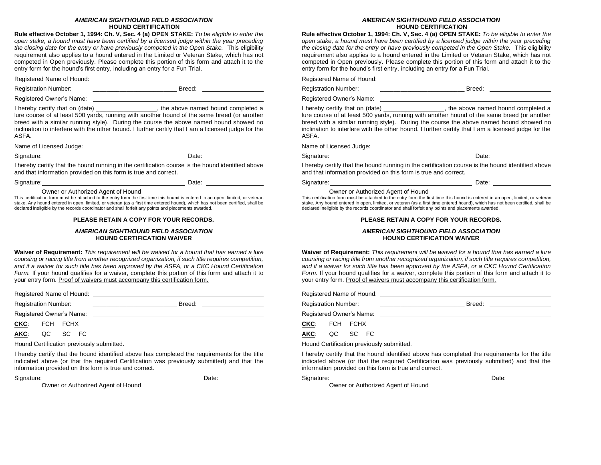#### *AMERICAN SIGHTHOUND FIELD ASSOCIATION* **HOUND CERTIFICATION**

**Rule effective October 1, 1994: Ch. V, Sec. 4 (a) OPEN STAKE:** *To be eligible to enter the open stake, a hound must have been certified by a licensed judge within the year preceding the closing date for the entry or have previously competed in the Open Stake.* This eligibility requirement also applies to a hound entered in the Limited or Veteran Stake, which has not competed in Open previously. Please complete this portion of this form and attach it to the entry form for the hound's first entry, including an entry for a Fun Trial.

Registered Name of Hound:

Registration Number: \_\_\_\_\_\_\_\_\_\_\_\_\_\_\_\_\_\_\_\_\_\_\_\_\_ Breed:

Registered Owner's Name:

I hereby certify that on (date) \_\_\_\_\_\_\_\_\_\_\_\_\_\_\_\_\_, the above named hound completed a lure course of at least 500 yards, running with another hound of the same breed (or another breed with a similar running style). During the course the above named hound showed no inclination to interfere with the other hound. I further certify that I am a licensed judge for the ASFA.

Name of Licensed Judge:

Signature: Date: Date: Date: Date: Date: Date: Date: Date: Date: Date: Date: Date: Date: Date: Date: Date: Date: Date: Date: Date: Date: Date: Date: Date: Date: Date: Date: Date: Date: Date: Date: Date: Date: Date: Date: D

I hereby certify that the hound running in the certification course is the hound identified above and that information provided on this form is true and correct.

Signature: Date: Date: Date: Date: Date: Date: Date: Date: Date: Date: Date: Date: Date: Date: Date: Date: Date: Date: Date: Date:  $\sim$  Date: Date: Date: Date: Date: Date: Date: Date: Date: Date: Date: Date: Date: Date: Da

Owner or Authorized Agent of Hound

This certification form must be attached to the entry form the first time this hound is entered in an open, limited, or veteran stake. Any hound entered in open, limited, or veteran (as a first time entered hound), which has not been certified, shall be declared ineligible by the records coordinator and shall forfeit any points and placements awarded.

#### **PLEASE RETAIN A COPY FOR YOUR RECORDS.**

#### *AMERICAN SIGHTHOUND FIELD ASSOCIATION* **HOUND CERTIFICATION WAIVER**

**Waiver of Requirement:** *This requirement will be waived for a hound that has earned a lure coursing or racing title from another recognized organization, if such title requires competition, and if a waiver for such title has been approved by the ASFA, or a CKC Hound Certification Form.* If your hound qualifies for a waiver, complete this portion of this form and attach it to your entry form. Proof of waivers must accompany this certification form.

Registered Name of Hound: Name of Hound:

Registration Number: \_\_\_\_\_\_\_\_\_\_\_\_\_\_\_\_\_\_\_\_\_\_\_\_\_ Breed:

Registered Owner's Name:

**CKC**: FCH FCHX

**AKC**: QC SC FC

Hound Certification previously submitted.

I hereby certify that the hound identified above has completed the requirements for the title indicated above (or that the required Certification was previously submitted) and that the information provided on this form is true and correct.

Signature: \_\_\_\_\_\_\_\_\_\_\_\_\_\_\_\_\_\_\_\_\_\_\_\_\_\_\_\_\_\_\_\_\_\_\_\_\_\_\_\_\_\_\_\_\_\_\_ Date:

Owner or Authorized Agent of Hound

#### *AMERICAN SIGHTHOUND FIELD ASSOCIATION* **HOUND CERTIFICATION**

**Rule effective October 1, 1994: Ch. V, Sec. 4 (a) OPEN STAKE:** *To be eligible to enter the open stake, a hound must have been certified by a licensed judge within the year preceding the closing date for the entry or have previously competed in the Open Stake.* This eligibility requirement also applies to a hound entered in the Limited or Veteran Stake, which has not competed in Open previously. Please complete this portion of this form and attach it to the entry form for the hound's first entry, including an entry for a Fun Trial.

Registered Name of Hound:

Registration Number: \_\_\_\_\_\_\_\_\_\_\_\_\_\_\_\_\_\_\_\_\_\_\_\_\_\_\_\_\_\_\_\_\_\_ Breed: \_\_\_\_\_\_\_\_\_\_\_\_\_\_\_\_\_

Registered Owner's Name:

I hereby certify that on (date) \_\_\_\_\_\_\_\_\_\_\_\_\_\_\_\_\_, the above named hound completed a lure course of at least 500 yards, running with another hound of the same breed (or another breed with a similar running style). During the course the above named hound showed no inclination to interfere with the other hound. I further certify that I am a licensed judge for the ASFA.

Name of Licensed Judge:

Signature: Signature: **Date:** Date: **Date: Date: Date: Date: Date: Date: Date: Date: Date: Date: Date: Date: Date: Date: Date: Date: Date: Date: Date: Date: Date: Date: Date: D** 

I hereby certify that the hound running in the certification course is the hound identified above and that information provided on this form is true and correct.

Signature: Date: Date: Date: Date: Date: Date: Date: Date: Date: Date: Date: Date: Date: Date: Date: Date: Date: Date: Date: Date: Date: Date: Date: Date: Date: Date: Date: Date: Date: Date: Date: Date: Date: Date: Date: D

Owner or Authorized Agent of Hound

This certification form must be attached to the entry form the first time this hound is entered in an open, limited, or veteran stake. Any hound entered in open, limited, or veteran (as a first time entered hound), which has not been certified, shall be declared ineligible by the records coordinator and shall forfeit any points and placements awarded.

#### **PLEASE RETAIN A COPY FOR YOUR RECORDS.**

#### *AMERICAN SIGHTHOUND FIELD ASSOCIATION* **HOUND CERTIFICATION WAIVER**

**Waiver of Requirement:** *This requirement will be waived for a hound that has earned a lure coursing or racing title from another recognized organization, if such title requires competition, and if a waiver for such title has been approved by the ASFA, or a CKC Hound Certification Form.* If your hound qualifies for a waiver, complete this portion of this form and attach it to your entry form. Proof of waivers must accompany this certification form.

Registered Name of Hound: Name of Hound:

Registration Number: \_\_\_\_\_\_\_\_\_\_\_\_\_\_\_\_\_\_\_\_\_\_\_\_\_ Breed:

Registered Owner's Name:

**CKC**: FCH FCHX

**AKC**: QC SC FC

Hound Certification previously submitted.

I hereby certify that the hound identified above has completed the requirements for the title indicated above (or that the required Certification was previously submitted) and that the information provided on this form is true and correct.

Signature: Date:

Owner or Authorized Agent of Hound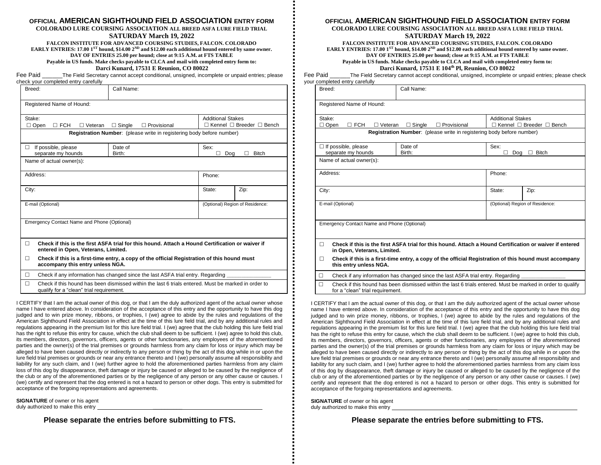#### **OFFICIAL AMERICAN SIGHTHOUND FIELD ASSOCIATION ENTRY FORM**

**COLORADO LURE COURSING ASSOCIATION ALL BREED ASFA LURE FIELD TRIAL SATURDAY March 19, 2022**

**FALCON INSTITUTE FOR ADVANCED COURSING STUDIES, FALCON. COLORADO EARLY ENTRIES: 17.00 1ST hound, \$14.00 2ND and \$12.00 each additional hound entered by same owner. DAY OF ENTRIES 25.00 per hound; close at 9:15 A.M. at FTS TABLE Payable in US funds. Make checks payable to CLCA and mail with completed entry form to: Darci Kunard, 17531 E Reunion, CO 80022**

Fee Paid **The Field Secretary cannot accept conditional**, unsigned, incomplete or unpaid entries; please check your completed entry carefully

| Breed:                                               | Call Name:                                                                                                                             |                                                                       |                                 |  |  |  |  |
|------------------------------------------------------|----------------------------------------------------------------------------------------------------------------------------------------|-----------------------------------------------------------------------|---------------------------------|--|--|--|--|
| Registered Name of Hound:                            |                                                                                                                                        |                                                                       |                                 |  |  |  |  |
| Stake:<br>$\Box$ Open<br>$\Box$ FCH<br>Veteran<br>П. |                                                                                                                                        | <b>Additional Stakes</b><br>$\Box$ Kennel $\Box$ Breeder $\Box$ Bench |                                 |  |  |  |  |
|                                                      | Registration Number: (please write in registering body before number)                                                                  |                                                                       |                                 |  |  |  |  |
| If possible, please<br>п<br>separate my hounds       | Sex:<br>п<br>Doa                                                                                                                       | <b>Bitch</b>                                                          |                                 |  |  |  |  |
| Name of actual owner(s):                             |                                                                                                                                        |                                                                       |                                 |  |  |  |  |
| Address:                                             | Phone:                                                                                                                                 |                                                                       |                                 |  |  |  |  |
| City:                                                | State:                                                                                                                                 | Zip:                                                                  |                                 |  |  |  |  |
| E-mail (Optional)                                    |                                                                                                                                        |                                                                       | (Optional) Region of Residence: |  |  |  |  |
|                                                      | Emergency Contact Name and Phone (Optional)                                                                                            |                                                                       |                                 |  |  |  |  |
| П                                                    | Check if this is the first ASFA trial for this hound. Attach a Hound Certification or waiver if<br>entered in Open, Veterans, Limited. |                                                                       |                                 |  |  |  |  |
| П<br>accompany this entry unless NGA.                | Check if this is a first-time entry, a copy of the official Registration of this hound must                                            |                                                                       |                                 |  |  |  |  |
| □                                                    | Check if any information has changed since the last ASFA trial entry. Regarding                                                        |                                                                       |                                 |  |  |  |  |
| П                                                    | Check if this hound has been dismissed within the last 6 trials entered. Must be marked in order to                                    |                                                                       |                                 |  |  |  |  |

qualify for a "clean" trial requirement.

I CERTIFY that I am the actual owner of this dog, or that I am the duly authorized agent of the actual owner whose name I have entered above. In consideration of the acceptance of this entry and the opportunity to have this dog judged and to win prize money, ribbons, or trophies, I (we) agree to abide by the rules and regulations of the American Sighthound Field Association in effect at the time of this lure field trial, and by any additional rules and regulations appearing in the premium list for this lure field trial. I (we) agree that the club holding this lure field trial has the right to refuse this entry for cause, which the club shall deem to be sufficient. I (we) agree to hold this club, its members, directors, governors, officers, agents or other functionaries, any employees of the aforementioned parties and the owner(s) of the trial premises or grounds harmless from any claim for loss or injury which may be alleged to have been caused directly or indirectly to any person or thing by the act of this dog while in or upon the lure field trial premises or grounds or near any entrance thereto and I (we) personally assume all responsibility and liability for any such claim, and I (we) further agree to hold the aforementioned parties harmless from any claim loss of this dog by disappearance, theft damage or injury be caused or alleged to be caused by the negligence of the club or any of the aforementioned parties or by the negligence of any person or any other cause or causes. I (we) certify and represent that the dog entered is not a hazard to person or other dogs. This entry is submitted for acceptance of the forgoing representations and agreements.

**SIGNATURE** of owner or his agent duly authorized to make this entry

#### **OFFICIAL AMERICAN SIGHTHOUND FIELD ASSOCIATION ENTRY FORM**

**COLORADO LURE COURSING ASSOCIATION ALL BREED ASFA LURE FIELD TRIAL**

#### **SATURDAY March 19, 2022**

**FALCON INSTITUTE FOR ADVANCED COURSING STUDIES, FALCON. COLORADO EARLY ENTRIES: 17.00 1ST hound, \$14.00 2ND and \$12.00 each additional hound entered by same owner. DAY OF ENTRIES 25.00 per hound; close at 9:15 A.M. at FTS TABLE Payable in US funds. Make checks payable to CLCA and mail with completed entry form to: Darci Kunard, 17531 E 104th Pl, Reunion, CO 80022**

Fee Paid The Field Secretary cannot accept conditional, unsigned, incomplete or unpaid entries; please check your completed entry carefully

| Breed: |                                                                                                                                                 | Call Name:                                                                   |                                                                       |                                  |      |  |  |  |
|--------|-------------------------------------------------------------------------------------------------------------------------------------------------|------------------------------------------------------------------------------|-----------------------------------------------------------------------|----------------------------------|------|--|--|--|
|        | Registered Name of Hound:                                                                                                                       |                                                                              |                                                                       |                                  |      |  |  |  |
| Stake: | $\Box$ FCH<br>$\Box$ Open<br>$\Box$ Veteran                                                                                                     | $\Box$ Provisional                                                           | <b>Additional Stakes</b><br>$\Box$ Kennel $\Box$ Breeder $\Box$ Bench |                                  |      |  |  |  |
|        |                                                                                                                                                 | <b>Registration Number:</b> (please write in registering body before number) |                                                                       |                                  |      |  |  |  |
|        | $\Box$ If possible, please<br>separate my hounds                                                                                                | Date of<br>Birth:                                                            |                                                                       | Sex:<br><b>Bitch</b><br>Dog<br>п |      |  |  |  |
|        | Name of actual owner(s):                                                                                                                        |                                                                              |                                                                       |                                  |      |  |  |  |
|        | Address:                                                                                                                                        |                                                                              |                                                                       | Phone:                           |      |  |  |  |
| City:  |                                                                                                                                                 |                                                                              |                                                                       | State:                           | Zip: |  |  |  |
|        | E-mail (Optional)                                                                                                                               |                                                                              |                                                                       | (Optional) Region of Residence:  |      |  |  |  |
|        | Emergency Contact Name and Phone (Optional)                                                                                                     |                                                                              |                                                                       |                                  |      |  |  |  |
| п      | Check if this is the first ASFA trial for this hound. Attach a Hound Certification or waiver if entered<br>in Open, Veterans, Limited.          |                                                                              |                                                                       |                                  |      |  |  |  |
| п      | Check if this is a first-time entry, a copy of the official Registration of this hound must accompany<br>this entry unless NGA.                 |                                                                              |                                                                       |                                  |      |  |  |  |
| П.     | Check if any information has changed since the last ASFA trial entry. Regarding                                                                 |                                                                              |                                                                       |                                  |      |  |  |  |
| П      | Check if this hound has been dismissed within the last 6 trials entered. Must be marked in order to qualify<br>for a "clean" trial requirement. |                                                                              |                                                                       |                                  |      |  |  |  |

I CERTIFY that I am the actual owner of this dog, or that I am the duly authorized agent of the actual owner whose name I have entered above. In consideration of the acceptance of this entry and the opportunity to have this dog judged and to win prize money, ribbons, or trophies, I (we) agree to abide by the rules and regulations of the American Sighthound Field Association in effect at the time of this lure field trial, and by any additional rules and regulations appearing in the premium list for this lure field trial. I (we) agree that the club holding this lure field trial has the right to refuse this entry for cause, which the club shall deem to be sufficient. I (we) agree to hold this club, its members, directors, governors, officers, agents or other functionaries, any employees of the aforementioned parties and the owner(s) of the trial premises or grounds harmless from any claim for loss or injury which may be alleged to have been caused directly or indirectly to any person or thing by the act of this dog while in or upon the lure field trial premises or grounds or near any entrance thereto and I (we) personally assume all responsibility and liability for any such claim, and I (we) further agree to hold the aforementioned parties harmless from any claim loss of this dog by disappearance, theft damage or injury be caused or alleged to be caused by the negligence of the club or any of the aforementioned parties or by the negligence of any person or any other cause or causes. I (we) certify and represent that the dog entered is not a hazard to person or other dogs. This entry is submitted for acceptance of the forgoing representations and agreements.

**SIGNATURE** of owner or his agent duly authorized to make this entry

**Please separate the entries before submitting to FTS. Please separate the entries before submitting to FTS.**